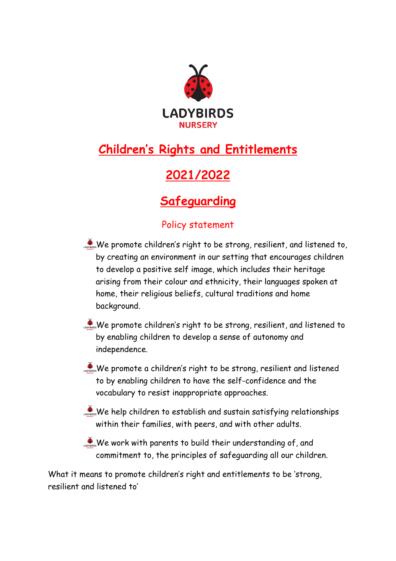

# **Children's Rights and Entitlements**

## **2021/2022**

### **Safeguarding**

### Policy statement

- We promote children's right to be strong, resilient, and listened to, by creating an environment in our setting that encourages children to develop a positive self image, which includes their heritage arising from their colour and ethnicity, their languages spoken at home, their religious beliefs, cultural traditions and home background.
- We promote children's right to be strong, resilient, and listened to by enabling children to develop a sense of autonomy and independence.
- We promote a children's right to be strong, resilient and listened to by enabling children to have the self-confidence and the vocabulary to resist inappropriate approaches.
- $\clubsuit$  We help children to establish and sustain satisfying relationships within their families, with peers, and with other adults.
- $\sum_{\text{coverses}}$ We work with parents to build their understanding of, and commitment to, the principles of safeguarding all our children.

What it means to promote children's right and entitlements to be 'strong, resilient and listened to'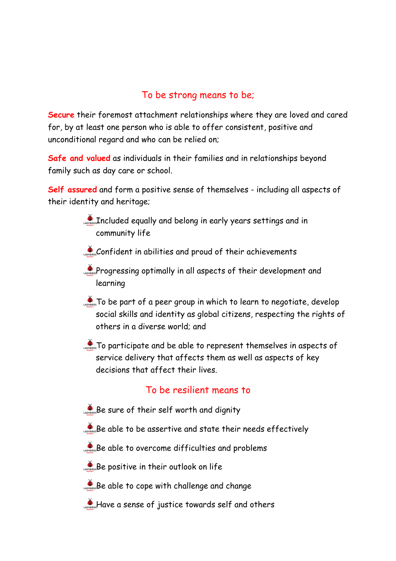#### To be strong means to be;

**Secure** their foremost attachment relationships where they are loved and cared for, by at least one person who is able to offer consistent, positive and unconditional regard and who can be relied on;

**Safe and valued** as individuals in their families and in relationships beyond family such as day care or school.

**Self assured** and form a positive sense of themselves - including all aspects of their identity and heritage;

- Included equally and belong in early years settings and in community life
- Confident in abilities and proud of their achievements
- **Progressing optimally in all aspects of their development and** learning
- **To be part of a peer group in which to learn to negotiate, develop** social skills and identity as global citizens, respecting the rights of others in a diverse world; and
- **CONSISTS DEPARTICIPATE And be able to represent themselves in aspects of** service delivery that affects them as well as aspects of key decisions that affect their lives.

#### To be resilient means to

- Be sure of their self worth and dignity
- Be able to be assertive and state their needs effectively
- Be able to overcome difficulties and problems
- **Be positive in their outlook on life**
- Be able to cope with challenge and change
- **A** Have a sense of justice towards self and others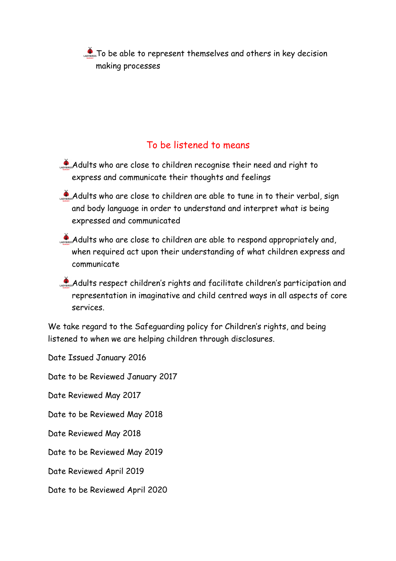To be able to represent themselves and others in key decision making processes

#### To be listened to means

- Adults who are close to children recognise their need and right to express and communicate their thoughts and feelings
- Adults who are close to children are able to tune in to their verbal, sign and body language in order to understand and interpret what is being expressed and communicated
- $\clubsuit$  Adults who are close to children are able to respond appropriately and, when required act upon their understanding of what children express and communicate
- Adults respect children's rights and facilitate children's participation and representation in imaginative and child centred ways in all aspects of core services.

We take regard to the Safeguarding policy for Children's rights, and being listened to when we are helping children through disclosures.

Date Issued January 2016 Date to be Reviewed January 2017 Date Reviewed May 2017 Date to be Reviewed May 2018 Date Reviewed May 2018 Date to be Reviewed May 2019 Date Reviewed April 2019 Date to be Reviewed April 2020